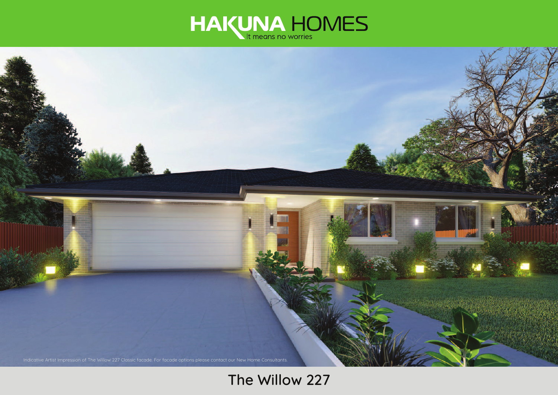



# **The Willow 227**